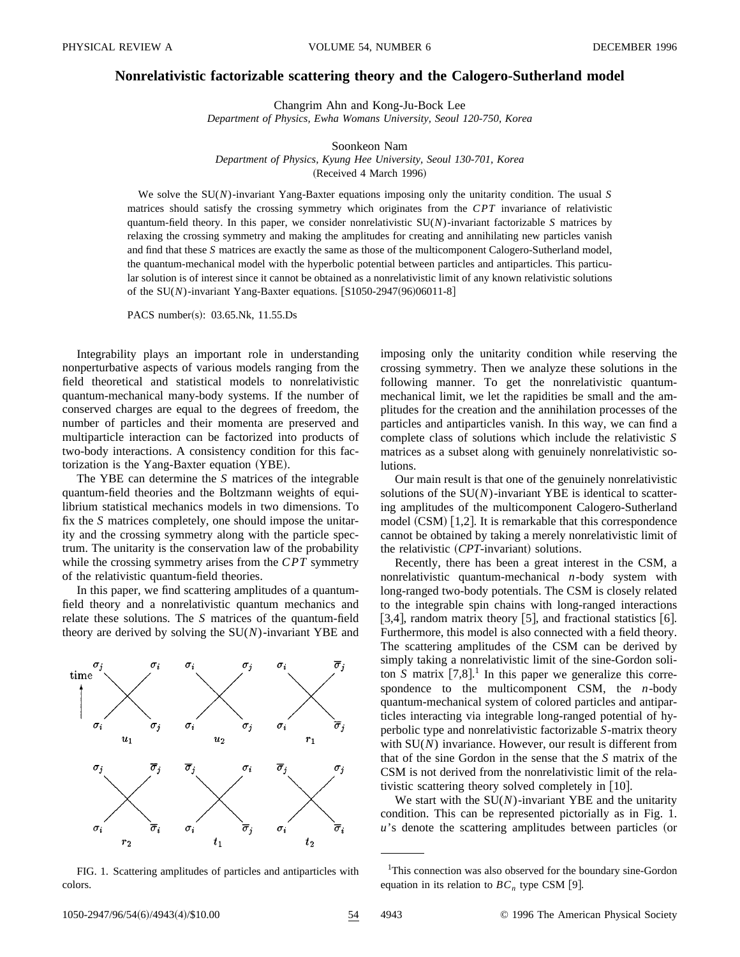## **Nonrelativistic factorizable scattering theory and the Calogero-Sutherland model**

Changrim Ahn and Kong-Ju-Bock Lee

*Department of Physics, Ewha Womans University, Seoul 120-750, Korea*

Soonkeon Nam *Department of Physics, Kyung Hee University, Seoul 130-701, Korea* (Received 4 March 1996)

We solve the SU(*N*)-invariant Yang-Baxter equations imposing only the unitarity condition. The usual *S* matrices should satisfy the crossing symmetry which originates from the *CPT* invariance of relativistic quantum-field theory. In this paper, we consider nonrelativistic SU(*N*)-invariant factorizable *S* matrices by relaxing the crossing symmetry and making the amplitudes for creating and annihilating new particles vanish and find that these *S* matrices are exactly the same as those of the multicomponent Calogero-Sutherland model, the quantum-mechanical model with the hyperbolic potential between particles and antiparticles. This particular solution is of interest since it cannot be obtained as a nonrelativistic limit of any known relativistic solutions of the  $SU(N)$ -invariant Yang-Baxter equations.  $[S1050-2947(96)06011-8]$ 

PACS number(s):  $03.65$ .Nk,  $11.55$ .Ds

Integrability plays an important role in understanding nonperturbative aspects of various models ranging from the field theoretical and statistical models to nonrelativistic quantum-mechanical many-body systems. If the number of conserved charges are equal to the degrees of freedom, the number of particles and their momenta are preserved and multiparticle interaction can be factorized into products of two-body interactions. A consistency condition for this factorization is the Yang-Baxter equation (YBE).

The YBE can determine the *S* matrices of the integrable quantum-field theories and the Boltzmann weights of equilibrium statistical mechanics models in two dimensions. To fix the *S* matrices completely, one should impose the unitarity and the crossing symmetry along with the particle spectrum. The unitarity is the conservation law of the probability while the crossing symmetry arises from the *CPT* symmetry of the relativistic quantum-field theories.

In this paper, we find scattering amplitudes of a quantumfield theory and a nonrelativistic quantum mechanics and relate these solutions. The *S* matrices of the quantum-field theory are derived by solving the SU(*N*)-invariant YBE and



FIG. 1. Scattering amplitudes of particles and antiparticles with colors.

imposing only the unitarity condition while reserving the crossing symmetry. Then we analyze these solutions in the following manner. To get the nonrelativistic quantummechanical limit, we let the rapidities be small and the amplitudes for the creation and the annihilation processes of the particles and antiparticles vanish. In this way, we can find a complete class of solutions which include the relativistic *S* matrices as a subset along with genuinely nonrelativistic solutions.

Our main result is that one of the genuinely nonrelativistic solutions of the  $SU(N)$ -invariant YBE is identical to scattering amplitudes of the multicomponent Calogero-Sutherland model  $(CSM)$  [1,2]. It is remarkable that this correspondence cannot be obtained by taking a merely nonrelativistic limit of the relativistic (CPT-invariant) solutions.

Recently, there has been a great interest in the CSM, a nonrelativistic quantum-mechanical *n*-body system with long-ranged two-body potentials. The CSM is closely related to the integrable spin chains with long-ranged interactions [3,4], random matrix theory [5], and fractional statistics [6]. Furthermore, this model is also connected with a field theory. The scattering amplitudes of the CSM can be derived by simply taking a nonrelativistic limit of the sine-Gordon soliton  $S$  matrix  $[7,8]$ .<sup>1</sup> In this paper we generalize this correspondence to the multicomponent CSM, the *n*-body quantum-mechanical system of colored particles and antiparticles interacting via integrable long-ranged potential of hyperbolic type and nonrelativistic factorizable *S*-matrix theory with SU(*N*) invariance. However, our result is different from that of the sine Gordon in the sense that the *S* matrix of the CSM is not derived from the nonrelativistic limit of the relativistic scattering theory solved completely in  $[10]$ .

We start with the SU(*N*)-invariant YBE and the unitarity condition. This can be represented pictorially as in Fig. 1.  $u$ 's denote the scattering amplitudes between particles (or

<sup>&</sup>lt;sup>1</sup>This connection was also observed for the boundary sine-Gordon equation in its relation to  $BC_n$ , type CSM [9].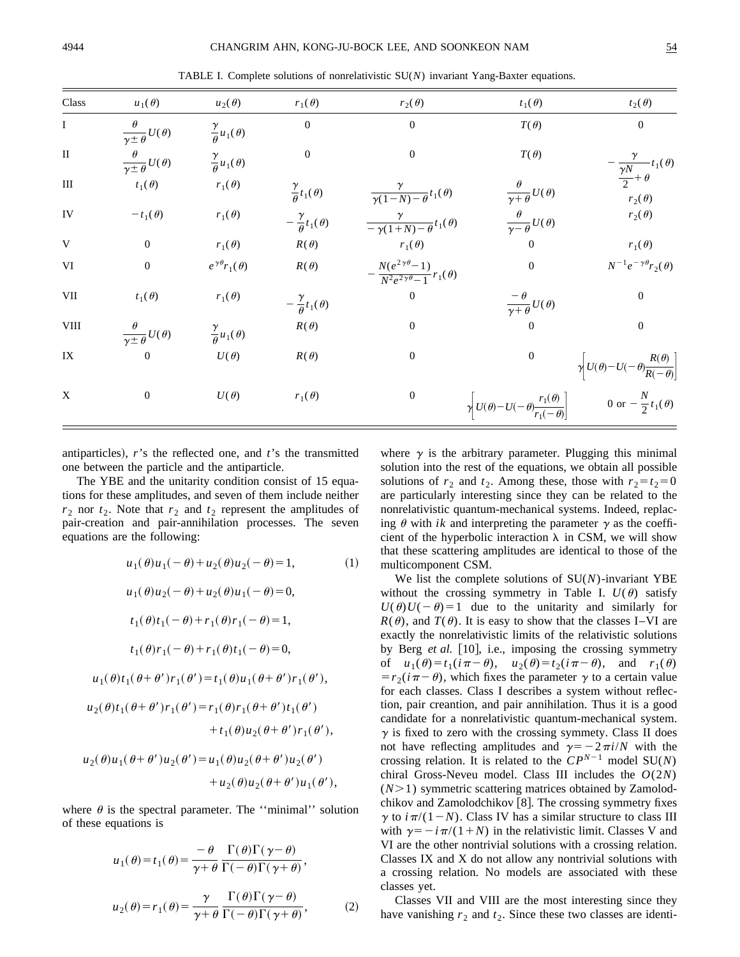TABLE I. Complete solutions of nonrelativistic SU(*N*) invariant Yang-Baxter equations.

| Class                   | $u_1(\theta)$                                | $u_2(\theta)$                      | $r_1(\theta)$                       | $r_2(\theta)$                                                       | $t_1(\theta)$                                                                      | $t_2(\theta)$                                                          |
|-------------------------|----------------------------------------------|------------------------------------|-------------------------------------|---------------------------------------------------------------------|------------------------------------------------------------------------------------|------------------------------------------------------------------------|
| $\mathbf{I}$            | $\frac{\theta}{\gamma\pm\theta}U(\theta)$    | $\frac{\gamma}{\theta}u_1(\theta)$ | $\boldsymbol{0}$                    | $\Omega$                                                            | $T(\theta)$                                                                        | $\boldsymbol{0}$                                                       |
| $\;$ II                 | $\frac{\theta}{\gamma \pm \theta}U(\theta)$  | $\frac{\gamma}{\theta}u_1(\theta)$ | $\boldsymbol{0}$                    | $\overline{0}$                                                      | $T(\theta)$                                                                        | $-\frac{\gamma}{\frac{\gamma N}{2}+\theta}t_1(\theta)$                 |
| $\rm III$               | $t_1(\theta)$                                | $r_1(\theta)$                      | $\frac{\gamma}{\theta}t_1(\theta)$  | $\frac{r}{\gamma(1-N)-\theta}t_1(\theta)$                           |                                                                                    | $r_2(\theta)$                                                          |
| IV                      | $-t_1(\theta)$                               | $r_1(\theta)$                      | $-\frac{\gamma}{\theta}t_1(\theta)$ | $\frac{\gamma}{-\gamma(1+N)-\theta}t_1(\theta)$                     | $\frac{\theta}{\gamma+\theta}U(\theta)$<br>$\frac{\theta}{\gamma-\theta}U(\theta)$ | $r_2(\theta)$                                                          |
| $\ensuremath{\text{V}}$ | $\mathbf{0}$                                 | $r_1(\theta)$                      | $R(\theta)$                         | $r_1(\theta)$                                                       | $\boldsymbol{0}$                                                                   | $r_1(\theta)$                                                          |
| VI                      | $\mathbf{0}$                                 | $e^{\gamma \theta} r_1(\theta)$    | $R(\theta)$                         | $-\frac{N(e^{2\gamma\theta}-1)}{N^2e^{2\gamma\theta}-1}r_1(\theta)$ | $\mathbf{0}$                                                                       | $N^{-1}e^{-\gamma\theta}r_2(\theta)$                                   |
| VII                     | $t_1(\theta)$                                | $r_1(\theta)$                      | $-\frac{\gamma}{\theta}t_1(\theta)$ | $\boldsymbol{0}$                                                    | $\frac{\theta}{\gamma+\theta}U(\theta)$                                            | $\boldsymbol{0}$                                                       |
| <b>VIII</b>             | $\frac{\theta}{\gamma \pm \theta} U(\theta)$ | $\frac{\gamma}{\theta}u_1(\theta)$ | $R(\theta)$                         | $\mathbf{0}$                                                        | $\overline{0}$                                                                     | $\boldsymbol{0}$                                                       |
| IX                      | $\overline{0}$                               | $U(\theta)$                        | $R(\theta)$                         | $\mathbf{0}$                                                        | $\mathbf{0}$                                                                       | $\gamma$ U( $\theta$ ) – U( $-\theta$ ) $\frac{R(\theta)}{R(-\theta)}$ |
| X                       | $\boldsymbol{0}$                             | $U(\theta)$                        | $r_1(\theta)$                       | $\mathbf{0}$                                                        | $\gamma$ U( $\theta$ ) – U( $-\theta$ ) $\frac{r_1(\theta)}{r_1(-\theta)}$         | 0 or $-\frac{N}{2}t_1(\theta)$                                         |

antiparticles),  $r$ 's the reflected one, and  $t$ 's the transmitted one between the particle and the antiparticle.

The YBE and the unitarity condition consist of 15 equations for these amplitudes, and seven of them include neither  $r_2$  nor  $t_2$ . Note that  $r_2$  and  $t_2$  represent the amplitudes of pair-creation and pair-annihilation processes. The seven equations are the following:

$$
u_1(\theta)u_1(-\theta) + u_2(\theta)u_2(-\theta) = 1,
$$
 (1)  
\n
$$
u_1(\theta)u_2(-\theta) + u_2(\theta)u_1(-\theta) = 0,
$$
  
\n
$$
t_1(\theta)t_1(-\theta) + r_1(\theta)r_1(-\theta) = 1,
$$
  
\n
$$
t_1(\theta)r_1(-\theta) + r_1(\theta)t_1(-\theta) = 0,
$$
  
\n
$$
u_1(\theta)t_1(\theta + \theta')r_1(\theta') = t_1(\theta)u_1(\theta + \theta')r_1(\theta'),
$$
  
\n
$$
u_2(\theta)t_1(\theta + \theta')r_1(\theta') = r_1(\theta)r_1(\theta + \theta')t_1(\theta')
$$
  
\n
$$
+ t_1(\theta)u_2(\theta + \theta')r_1(\theta') + u_2(\theta)u_2(\theta') + u_2(\theta)u_2(\theta + \theta')u_1(\theta'),
$$

where  $\theta$  is the spectral parameter. The "minimal" solution of these equations is

$$
u_1(\theta) = t_1(\theta) = \frac{-\theta}{\gamma + \theta} \frac{\Gamma(\theta)\Gamma(\gamma - \theta)}{\Gamma(-\theta)\Gamma(\gamma + \theta)},
$$
  

$$
u_2(\theta) = r_1(\theta) = \frac{\gamma}{\gamma + \theta} \frac{\Gamma(\theta)\Gamma(\gamma - \theta)}{\Gamma(-\theta)\Gamma(\gamma + \theta)},
$$
 (2)

where  $\gamma$  is the arbitrary parameter. Plugging this minimal solution into the rest of the equations, we obtain all possible solutions of  $r_2$  and  $t_2$ . Among these, those with  $r_2 = t_2 = 0$ are particularly interesting since they can be related to the nonrelativistic quantum-mechanical systems. Indeed, replacing  $\theta$  with *ik* and interpreting the parameter  $\gamma$  as the coefficient of the hyperbolic interaction  $\lambda$  in CSM, we will show that these scattering amplitudes are identical to those of the multicomponent CSM.

We list the complete solutions of SU(*N*)-invariant YBE without the crossing symmetry in Table I.  $U(\theta)$  satisfy  $U(\theta)U(-\theta)=1$  due to the unitarity and similarly for  $R(\theta)$ , and  $T(\theta)$ . It is easy to show that the classes I–VI are exactly the nonrelativistic limits of the relativistic solutions by Berg et al. [10], i.e., imposing the crossing symmetry of  $u_1(\theta) = t_1(i\pi - \theta)$ ,  $u_2(\theta) = t_2(i\pi - \theta)$ , and  $r_1(\theta)$  $=r_2(i\pi-\theta)$ , which fixes the parameter  $\gamma$  to a certain value for each classes. Class I describes a system without reflection, pair creantion, and pair annihilation. Thus it is a good candidate for a nonrelativistic quantum-mechanical system.  $\gamma$  is fixed to zero with the crossing symmety. Class II does not have reflecting amplitudes and  $\gamma = -2\pi i/N$  with the crossing relation. It is related to the  $CP^{N-1}$  model SU(*N*) chiral Gross-Neveu model. Class III includes the *O*(2*N*)  $(N>1)$  symmetric scattering matrices obtained by Zamolodchikov and Zamolodchikov  $[8]$ . The crossing symmetry fixes  $\gamma$  to  $i\pi/(1-N)$ . Class IV has a similar structure to class III with  $\gamma = -i\pi/(1+N)$  in the relativistic limit. Classes V and VI are the other nontrivial solutions with a crossing relation. Classes IX and X do not allow any nontrivial solutions with a crossing relation. No models are associated with these classes yet.

Classes VII and VIII are the most interesting since they have vanishing  $r_2$  and  $t_2$ . Since these two classes are identi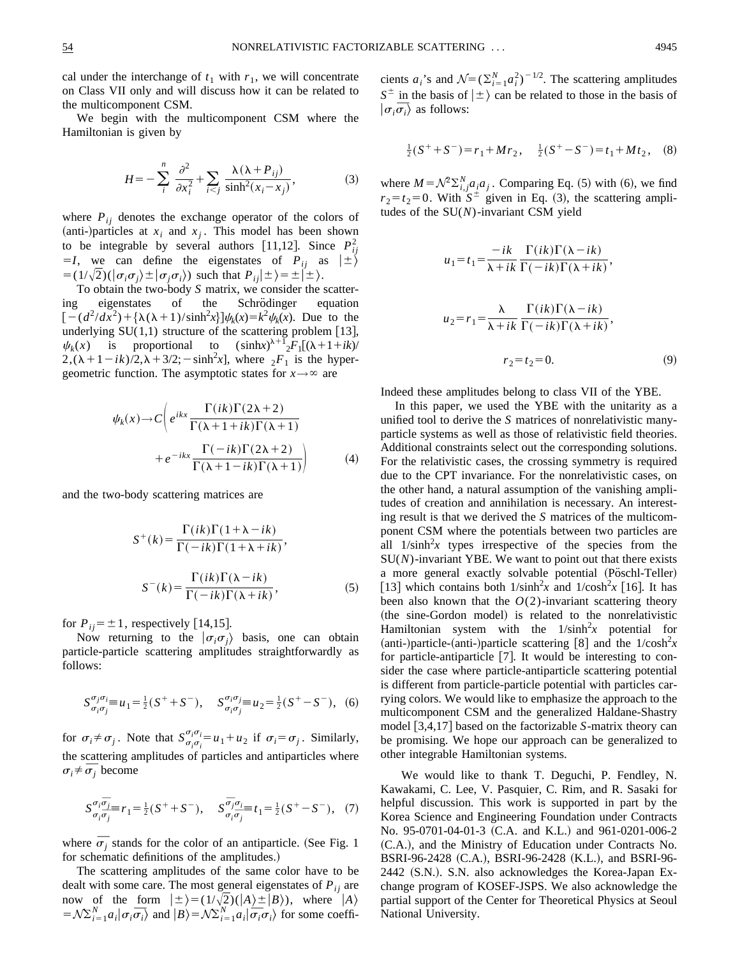cal under the interchange of  $t_1$  with  $r_1$ , we will concentrate on Class VII only and will discuss how it can be related to the multicomponent CSM.

We begin with the multicomponent CSM where the Hamiltonian is given by

$$
H = -\sum_{i}^{n} \frac{\partial^2}{\partial x_i^2} + \sum_{i < j} \frac{\lambda(\lambda + P_{ij})}{\sinh^2(x_i - x_j)},\tag{3}
$$

where  $P_{ij}$  denotes the exchange operator of the colors of (anti-)particles at  $x_i$  and  $x_j$ . This model has been shown to be integrable by several authors [11,12]. Since  $P_{ij}^2$  $=$ *I*, we can define the eigenstates of  $P_{ij}$  as  $|\pm\rangle$  $= (1/\sqrt{2})(\sigma_i \sigma_j) \pm |\sigma_j \sigma_i\rangle$  such that  $P_{ij}|\pm\rangle = \pm |\pm\rangle$ .

To obtain the two-body *S* matrix, we consider the scattering eigenstates of the Schrödinger equation  $[-(d^2/dx^2) + {\lambda(\lambda + 1)}/{\sinh^2x}] \psi_k(x) = k^2 \psi_k(x)$ . Due to the underlying  $SU(1,1)$  structure of the scattering problem [13],  $\psi_k(x)$  is proportional to  $(\sinh x)^{\lambda+1}$ <sub>2</sub>*F*<sub>1</sub>[( $\lambda+1+i k$ )/  $2,(\lambda + 1 - ik)/2, \lambda + 3/2$ ;  $-\sinh^2 x$ , where  $2F_1$  is the hypergeometric function. The asymptotic states for  $x \rightarrow \infty$  are

$$
\psi_k(x) \to C \left( e^{ikx} \frac{\Gamma(ik)\Gamma(2\lambda+2)}{\Gamma(\lambda+1+ik)\Gamma(\lambda+1)} + e^{-ikx} \frac{\Gamma(-ik)\Gamma(2\lambda+2)}{\Gamma(\lambda+1-ik)\Gamma(\lambda+1)} \right) \tag{4}
$$

and the two-body scattering matrices are

$$
S^{+}(k) = \frac{\Gamma(ik)\Gamma(1+\lambda-ik)}{\Gamma(-ik)\Gamma(1+\lambda+ik)},
$$

$$
S^{-}(k) = \frac{\Gamma(ik)\Gamma(\lambda-ik)}{\Gamma(-ik)\Gamma(\lambda+ik)},
$$
(5)

for  $P_{ij} = \pm 1$ , respectively [14,15].

Now returning to the  $|\sigma_i \sigma_j\rangle$  basis, one can obtain particle-particle scattering amplitudes straightforwardly as follows:

$$
S^{\sigma_j \sigma_j}_{\sigma_i \sigma_j} = u_1 = \frac{1}{2}(S^+ + S^-), \quad S^{\sigma_i \sigma_j}_{\sigma_i \sigma_j} = u_2 = \frac{1}{2}(S^+ - S^-), \tag{6}
$$

for  $\sigma_i \neq \sigma_j$ . Note that  $S^{\sigma_i \sigma_i}_{\sigma_i \sigma_j}$  $\sigma_i^{\sigma_i} = u_1 + u_2$  if  $\sigma_i = \sigma_j$ . Similarly, the scattering amplitudes of particles and antiparticles where the scattering are  $\sigma_i \neq \overline{\sigma}_j$  become

$$
S^{\sigma_i \overline{\sigma}_j}_{\sigma_i \overline{\sigma}_j} = r_1 = \frac{1}{2} (S^+ + S^-), \quad S^{\overline{\sigma}_j \sigma_j}_{\sigma_i \overline{\sigma}_j} = t_1 = \frac{1}{2} (S^+ - S^-), \quad (7)
$$

where  $\overline{\sigma}_j$  stands for the color of an antiparticle. (See Fig. 1) for schematic definitions of the amplitudes.)

The scattering amplitudes of the same color have to be dealt with some care. The most general eigenstates of  $P_{ij}$  are now of the form  $|\pm\rangle = (1/\sqrt{2})(|A\rangle \pm |B\rangle)$ , where  $\int_{A}^{B}$ now or the form  $|\pm\rangle = (1/\sqrt{2})(|A\rangle \pm |B\rangle)$ , where  $|A\rangle$ <br>  $=\mathcal{N}\sum_{i=1}^{N}a_i|\sigma_i\overline{\sigma_i}\rangle$  and  $|B\rangle = \mathcal{N}\sum_{i=1}^{N}a_i|\overline{\sigma_i}\sigma_i\rangle$  for some coeffi-

cients  $a_i$ 's and  $\mathcal{N} = (\sum_{i=1}^N a_i^2)^{-1/2}$ . The scattering amplitudes  $S^{\pm}$  in the basis of  $|\pm\rangle$  can be related to those in the basis of  $S^-$  in the basis of  $|\sigma_i \overline{\sigma_i}\rangle$  as follows:

$$
\frac{1}{2}(S^+ + S^-) = r_1 + Mr_2, \quad \frac{1}{2}(S^+ - S^-) = t_1 + Mt_2, \quad (8)
$$

where  $M = \mathcal{N}^2 \Sigma_{i,j}^N a_i a_j$ . Comparing Eq. (5) with (6), we find  $r_2 = t_2 = 0$ . With  $S^{\pm}$  given in Eq. (3), the scattering amplitudes of the SU(*N*)-invariant CSM yield

$$
u_1 = t_1 = \frac{-ik}{\lambda + ik} \frac{\Gamma(ik)\Gamma(\lambda - ik)}{\Gamma(-ik)\Gamma(\lambda + ik)},
$$
  

$$
u_2 = r_1 = \frac{\lambda}{\lambda + ik} \frac{\Gamma(ik)\Gamma(\lambda - ik)}{\Gamma(-ik)\Gamma(\lambda + ik)},
$$
  

$$
r_2 = t_2 = 0.
$$
 (9)

Indeed these amplitudes belong to class VII of the YBE.

In this paper, we used the YBE with the unitarity as a unified tool to derive the *S* matrices of nonrelativistic manyparticle systems as well as those of relativistic field theories. Additional constraints select out the corresponding solutions. For the relativistic cases, the crossing symmetry is required due to the CPT invariance. For the nonrelativistic cases, on the other hand, a natural assumption of the vanishing amplitudes of creation and annihilation is necessary. An interesting result is that we derived the *S* matrices of the multicomponent CSM where the potentials between two particles are all  $1/\sinh^2 x$  types irrespective of the species from the SU(*N*)-invariant YBE. We want to point out that there exists a more general exactly solvable potential (Poschl-Teller) [13] which contains both  $1/\sinh^2 x$  and  $1/\cosh^2 x$  [16]. It has been also known that the  $O(2)$ -invariant scattering theory (the sine-Gordon model) is related to the nonrelativistic Hamiltonian system with the  $1/\sinh^2 x$  potential for (anti-)particle-(anti-)particle scattering [8] and the  $1/\cosh^2 x$ for particle-antiparticle  $[7]$ . It would be interesting to consider the case where particle-antiparticle scattering potential is different from particle-particle potential with particles carrying colors. We would like to emphasize the approach to the multicomponent CSM and the generalized Haldane-Shastry model  $[3,4,17]$  based on the factorizable *S*-matrix theory can be promising. We hope our approach can be generalized to other integrable Hamiltonian systems.

We would like to thank T. Deguchi, P. Fendley, N. Kawakami, C. Lee, V. Pasquier, C. Rim, and R. Sasaki for helpful discussion. This work is supported in part by the Korea Science and Engineering Foundation under Contracts No. 95-0701-04-01-3 (C.A. and K.L.) and 961-0201-006-2 (C.A.), and the Ministry of Education under Contracts No. BSRI-96-2428 (C.A.), BSRI-96-2428 (K.L.), and BSRI-96- $2442$  (S.N.). S.N. also acknowledges the Korea-Japan Exchange program of KOSEF-JSPS. We also acknowledge the partial support of the Center for Theoretical Physics at Seoul National University.